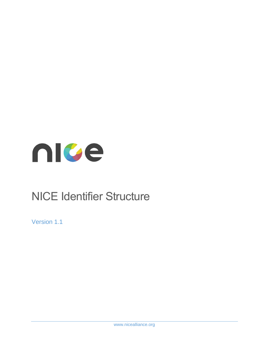

# NICE Identifier Structure

Version 1.1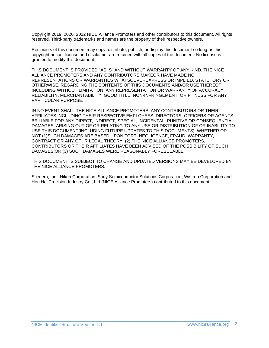Copyright 2019, 2020, 2022 NICE Alliance Promoters and other contributors to this document. All rights reserved. Third-party trademarks and names are the property of their respective owners.

Recipients of this document may copy, distribute, publish, or display this document so long as this copyright notice, license and disclaimer are retained with all copies of the document. No license is granted to modify this document.

THIS DOCUMENT IS PROVIDED "AS IS" AND WITHOUT WARRANTY OF ANY KIND. THE NICE ALLIANCE PROMOTERS AND ANY CONTRIBUTORS MAKEOR HAVE MADE NO REPRESENTATIONS OR WARRANTIES WHATSOEVEREXPRESS OR IMPLIED, STATUTORY OR OTHERWISE, REGARDING THE CONTENTS OF THIS DOCUMENTS AND/OR USE THEREOF, INCLUDING WITHOUT LIMITATION, ANY REPRESENTATION OR WARRANTY OF ACCURACY, RELIABILITY, MERCHANTABILITY, GOOD TITLE, NON-INFRINGEMENT, OR FITNESS FOR ANY PARTICULAR PURPOSE.

IN NO EVENT SHALL THE NICE ALLIANCE PROMOTERS, ANY CONTRIBUTORS OR THEIR AFFILIATES,INCLUDING THEIR RESPECTIVE EMPLOYEES, DIRECTORS, OFFICERS OR AGENTS, BE LIABLE FOR ANY DIRECT, INDIRECT, SPECIAL, INCIDENTAL, PUNITIVE OR CONSEQUENTIAL DAMAGES, ARISING OUT OF OR RELATING TO ANY USE OR DISTRIBUTION OF OR INABILITY TO USE THIS DOCUMENT(INCLUDING FUTURE UPDATES TO THIS DOCUMENTS), WHETHER OR NOT (1)SUCH DAMAGES ARE BASED UPON TORT, NEGLIGENCE, FRAUD, WARRANTY, CONTRACT OR ANY OTHR LEGAL THEORY, (2) THE NICE ALLIANCE PROMOTERS, CONTRIBUTORS OR THEIR AFFILIATES HAVE BEEN ADVISED OF THE POSSIBILITY OF SUCH DAMAGES;OR (3) SUCH DAMAGES WERE REASONABLY FORESEEABLE.

THIS DOCUMENT IS SUBJECT TO CHANGE AND UPDATED VERSIONS MAY BE DEVELOPED BY THE NICE ALLIANCE PROMOTERS.

Scenera, Inc., Nikon Corporation, Sony Semiconductor Solutions Corporation, Wistron Corporation and Hon Hai Precision Industry Co., Ltd.(NICE Alliance Promoters) contributed to this document.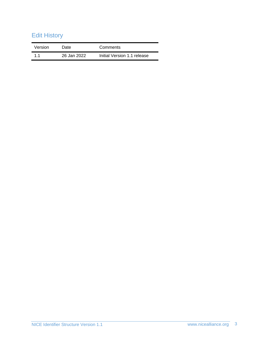# Edit History

| Version | Date        | Comments                    |
|---------|-------------|-----------------------------|
| 11      | 26 Jan 2022 | Initial Version 1.1 release |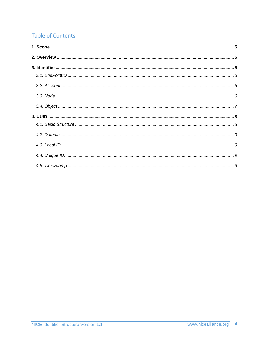# **Table of Contents**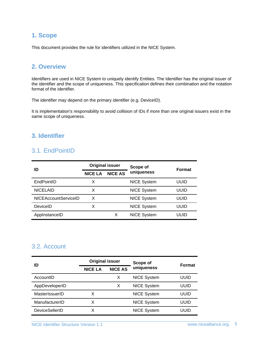## <span id="page-4-0"></span>**1. Scope**

This document provides the rule for identifiers utilized in the NICE System.

#### <span id="page-4-1"></span>**2. Overview**

Identifiers are used in NICE System to uniquely identify Entities. The Identifier has the original issuer of the identifier and the scope of uniqueness. This specification defines their combination and the notation format of the identifier.

The identifier may depend on the primary identifier (e.g. DeviceID).

It is implementation's responsibility to avoid collision of IDs if more than one original issuers exist in the same scope of uniqueness.

#### <span id="page-4-3"></span><span id="page-4-2"></span>**3. Identifier**

## 3.1. EndPointID

| ID                          | <b>Original issuer</b> |                | Scope of           | Format |
|-----------------------------|------------------------|----------------|--------------------|--------|
|                             | <b>NICE LA</b>         | <b>NICE AS</b> | uniqueness         |        |
| EndPointID                  | X                      |                | <b>NICE System</b> | uuid   |
| <b>NICELAID</b>             | x                      |                | <b>NICE System</b> | uuid   |
| <b>NICEAccountServiceID</b> | x                      |                | <b>NICE System</b> | uuid   |
| DeviceID                    | х                      |                | <b>NICE System</b> | uuid   |
| AppInstanceID               |                        | X              | <b>NICE System</b> | UUID   |

## <span id="page-4-4"></span>3.2. Account

| ID                    | <b>Original issuer</b> |                | Scope of           | <b>Format</b> |
|-----------------------|------------------------|----------------|--------------------|---------------|
|                       | <b>NICE LA</b>         | <b>NICE AS</b> | uniqueness         |               |
| AccountID             |                        | x              | <b>NICE System</b> | uuid          |
| AppDeveloperID        |                        | х              | <b>NICE System</b> | uuid          |
| MasterIssuerID        | x                      |                | <b>NICE System</b> | uuid          |
| ManufacturerID        | x                      |                | <b>NICE System</b> | uuid          |
| <b>DeviceSellerID</b> |                        |                | <b>NICE System</b> | UUID          |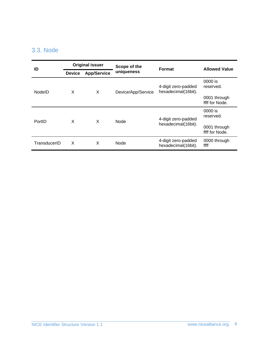## <span id="page-5-0"></span>3.3. Node

| ID           | <b>Original issuer</b> |                    | Scope of the        | Format                                     | <b>Allowed Value</b>           |  |
|--------------|------------------------|--------------------|---------------------|--------------------------------------------|--------------------------------|--|
|              | <b>Device</b>          | <b>App/Service</b> | uniqueness          |                                            |                                |  |
| NodelD       | X                      | X                  | Device/App/Service  | 4-digit zero-padded<br>hexadecimal(16bit). | 0000 is<br>reserved.           |  |
|              |                        |                    |                     |                                            | 0001 through<br>ffff for Node. |  |
| PortID       | X<br>X<br>Node         |                    |                     | 4-digit zero-padded                        | 0000 is<br>reserved.           |  |
|              |                        |                    | hexadecimal(16bit). | 0001 through<br>ffff for Node.             |                                |  |
| TransducerID | X                      | X                  | Node                | 4-digit zero-padded<br>hexadecimal(16bit). | 0000 through<br>ffff           |  |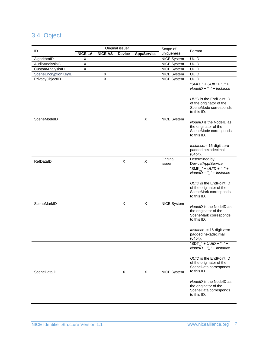## <span id="page-6-0"></span>3.4. Object

| ID                   | Original issuer         |                |               |                    | Scope of           |                                                                                                                                                                                                                                                                                                                                                   |
|----------------------|-------------------------|----------------|---------------|--------------------|--------------------|---------------------------------------------------------------------------------------------------------------------------------------------------------------------------------------------------------------------------------------------------------------------------------------------------------------------------------------------------|
|                      | <b>NICE LA</b>          | <b>NICE AS</b> | <b>Device</b> | <b>App/Service</b> | uniqueness         | Format                                                                                                                                                                                                                                                                                                                                            |
| AlgorithmID          | X                       |                |               |                    | <b>NICE System</b> | <b>UUID</b>                                                                                                                                                                                                                                                                                                                                       |
| AudioAnalysisID      | $\overline{X}$          |                |               |                    | <b>NICE System</b> | <b>UUID</b>                                                                                                                                                                                                                                                                                                                                       |
| CustomAnalysisID     | $\overline{\mathsf{X}}$ |                |               |                    | <b>NICE System</b> | <b>UUID</b>                                                                                                                                                                                                                                                                                                                                       |
| SceneEncryptionKeyID |                         | Χ              |               |                    | <b>NICE System</b> | <b>UUID</b>                                                                                                                                                                                                                                                                                                                                       |
| PrivacyObjectID      |                         | $\overline{X}$ |               |                    | <b>NICE System</b> | <b>UUID</b>                                                                                                                                                                                                                                                                                                                                       |
|                      |                         |                |               |                    |                    | "SMD_" + UUID + "_" +<br>$NodeID + "__" + Instance$<br><b>UUID</b> is the EndPoint ID                                                                                                                                                                                                                                                             |
|                      |                         |                |               |                    |                    | of the originator of the<br>SceneMode corresponds<br>to this ID.                                                                                                                                                                                                                                                                                  |
| SceneModeID          |                         |                |               | X                  | <b>NICE System</b> | NodelD is the NodelD as<br>the originator of the<br>SceneMode corresponds<br>to this ID.                                                                                                                                                                                                                                                          |
|                      |                         |                |               |                    |                    | Instance: = 16-digit zero-<br>padded hexadecimal<br>(64bit).                                                                                                                                                                                                                                                                                      |
| RefDataID            |                         |                | X             | X                  | Original<br>issuer | Determined by<br>Device/App/Service                                                                                                                                                                                                                                                                                                               |
| SceneMarkID          |                         |                | X             | X                  | <b>NICE System</b> | "SMK_" + UUID + "_" +<br>$NodeID + "__" + Instance$<br><b>UUID</b> is the EndPoint ID<br>of the originator of the<br>SceneMark corresponds<br>to this ID.<br>NodelD is the NodelD as<br>the originator of the<br>SceneMark corresponds<br>to this ID.<br>Instance := $16$ -digit zero-<br>padded hexadecimal<br>(64bit).<br>"SDT_" + UUID + "_" + |
| SceneDataID          |                         |                | X             | X                  | <b>NICE System</b> | $NodeID + "__" + Instance$<br><b>UUID</b> is the EndPoint ID<br>of the originator of the<br>SceneData corresponds<br>to this ID.<br>NodelD is the NodelD as<br>the originator of the<br>SceneData corresponds<br>to this ID.                                                                                                                      |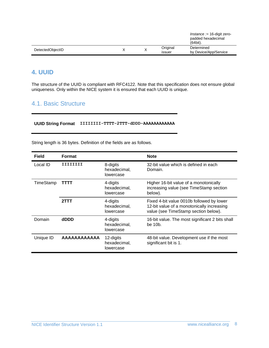|                  |  |              | <i>Instance</i> := 16-digit zero-<br>padded hexadecimal<br>(64bit). |
|------------------|--|--------------|---------------------------------------------------------------------|
| DetectedObjectID |  | Original     | Determined                                                          |
|                  |  | <b>ISSUE</b> | by Device/App/Service                                               |

## <span id="page-7-0"></span>**4. UUID**

The structure of the UUID is compliant with RFC4122. Note that this specification does not ensure global uniqueness. Only within the NICE system it is ensured that each UUID is unique.

## <span id="page-7-1"></span>4.1. Basic Structure

**UUID String Format IIIIIIII-TTTT-2TTT-dDDD-AAAAAAAAAAAA**

String length is 36 bytes. Definition of the fields are as follows.

| <b>Field</b> | <b>Format</b> |                                        | <b>Note</b>                                                                                                                     |  |
|--------------|---------------|----------------------------------------|---------------------------------------------------------------------------------------------------------------------------------|--|
| Local ID     | TTTTTTTT      | 8-digits<br>hexadecimal,<br>lowercase  | 32-bit value which is defined in each<br>Domain.                                                                                |  |
| TimeStamp    | TTTT          | 4-digits<br>hexadecimal,<br>lowercase  | Higher 16-bit value of a monotonically<br>increasing value (see TimeStamp section<br>below).                                    |  |
|              | 2TTT          | 4-digits<br>hexadecimal,<br>lowercase  | Fixed 4-bit value 0010b followed by lower<br>12-bit value of a monotonically increasing<br>value (see TimeStamp section below). |  |
| Domain       | dDDD          | 4-digits<br>hexadecimal,<br>lowercase  | 16-bit value. The most significant 2 bits shall<br>be 10 <sub>b</sub> .                                                         |  |
| Unique ID    | AAAAAAAAAAA   | 12-digits<br>hexadecimal,<br>lowercase | 48-bit value. Development use if the most<br>significant bit is 1.                                                              |  |